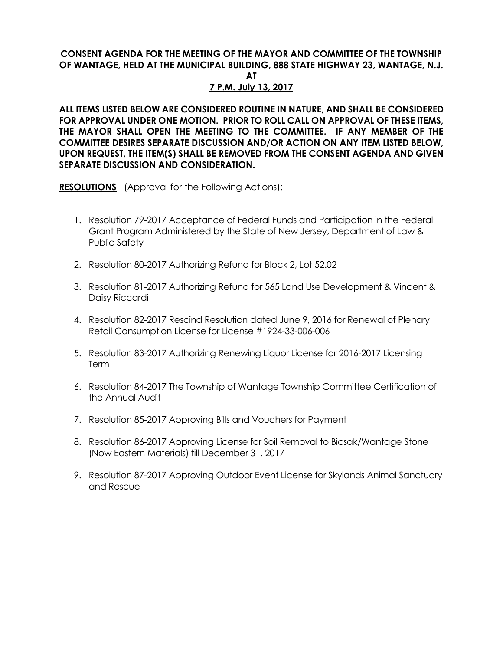## **CONSENT AGENDA FOR THE MEETING OF THE MAYOR AND COMMITTEE OF THE TOWNSHIP OF WANTAGE, HELD AT THE MUNICIPAL BUILDING, 888 STATE HIGHWAY 23, WANTAGE, N.J.**

**AT** 

## **7 P.M. July 13, 2017**

**ALL ITEMS LISTED BELOW ARE CONSIDERED ROUTINE IN NATURE, AND SHALL BE CONSIDERED FOR APPROVAL UNDER ONE MOTION. PRIOR TO ROLL CALL ON APPROVAL OF THESE ITEMS, THE MAYOR SHALL OPEN THE MEETING TO THE COMMITTEE. IF ANY MEMBER OF THE COMMITTEE DESIRES SEPARATE DISCUSSION AND/OR ACTION ON ANY ITEM LISTED BELOW, UPON REQUEST, THE ITEM(S) SHALL BE REMOVED FROM THE CONSENT AGENDA AND GIVEN SEPARATE DISCUSSION AND CONSIDERATION.**

**RESOLUTIONS** (Approval for the Following Actions):

- 1. Resolution 79-2017 Acceptance of Federal Funds and Participation in the Federal Grant Program Administered by the State of New Jersey, Department of Law & Public Safety
- 2. Resolution 80-2017 Authorizing Refund for Block 2, Lot 52.02
- 3. Resolution 81-2017 Authorizing Refund for 565 Land Use Development & Vincent & Daisy Riccardi
- 4. Resolution 82-2017 Rescind Resolution dated June 9, 2016 for Renewal of Plenary Retail Consumption License for License #1924-33-006-006
- 5. Resolution 83-2017 Authorizing Renewing Liquor License for 2016-2017 Licensing Term
- 6. Resolution 84-2017 The Township of Wantage Township Committee Certification of the Annual Audit
- 7. Resolution 85-2017 Approving Bills and Vouchers for Payment
- 8. Resolution 86-2017 Approving License for Soil Removal to Bicsak/Wantage Stone (Now Eastern Materials) till December 31, 2017
- 9. Resolution 87-2017 Approving Outdoor Event License for Skylands Animal Sanctuary and Rescue